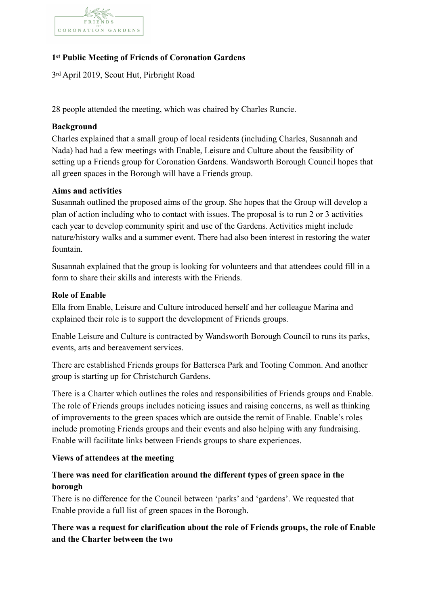

# **1st Public Meeting of Friends of Coronation Gardens**

3rd April 2019, Scout Hut, Pirbright Road

28 people attended the meeting, which was chaired by Charles Runcie.

## **Background**

Charles explained that a small group of local residents (including Charles, Susannah and Nada) had had a few meetings with Enable, Leisure and Culture about the feasibility of setting up a Friends group for Coronation Gardens. Wandsworth Borough Council hopes that all green spaces in the Borough will have a Friends group.

## **Aims and activities**

Susannah outlined the proposed aims of the group. She hopes that the Group will develop a plan of action including who to contact with issues. The proposal is to run 2 or 3 activities each year to develop community spirit and use of the Gardens. Activities might include nature/history walks and a summer event. There had also been interest in restoring the water fountain.

Susannah explained that the group is looking for volunteers and that attendees could fill in a form to share their skills and interests with the Friends.

## **Role of Enable**

Ella from Enable, Leisure and Culture introduced herself and her colleague Marina and explained their role is to support the development of Friends groups.

Enable Leisure and Culture is contracted by Wandsworth Borough Council to runs its parks, events, arts and bereavement services.

There are established Friends groups for Battersea Park and Tooting Common. And another group is starting up for Christchurch Gardens.

There is a Charter which outlines the roles and responsibilities of Friends groups and Enable. The role of Friends groups includes noticing issues and raising concerns, as well as thinking of improvements to the green spaces which are outside the remit of Enable. Enable's roles include promoting Friends groups and their events and also helping with any fundraising. Enable will facilitate links between Friends groups to share experiences.

## **Views of attendees at the meeting**

# **There was need for clarification around the different types of green space in the borough**

There is no difference for the Council between 'parks' and 'gardens'. We requested that Enable provide a full list of green spaces in the Borough.

# **There was a request for clarification about the role of Friends groups, the role of Enable and the Charter between the two**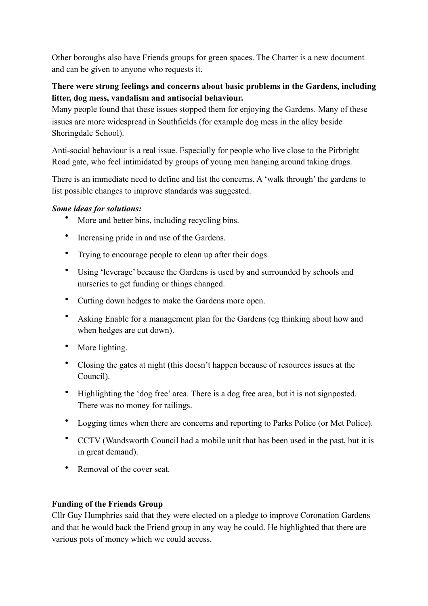Other boroughs also have Friends groups for green spaces. The Charter is a new document and can be given to anyone who requests it.

# **There were strong feelings and concerns about basic problems in the Gardens, including litter, dog mess, vandalism and antisocial behaviour.**

Many people found that these issues stopped them for enjoying the Gardens. Many of these issues are more widespread in Southfields (for example dog mess in the alley beside Sheringdale School).

Anti-social behaviour is a real issue. Especially for people who live close to the Pirbright Road gate, who feel intimidated by groups of young men hanging around taking drugs.

There is an immediate need to define and list the concerns. A 'walk through' the gardens to list possible changes to improve standards was suggested.

## *Some ideas for solutions:*

- More and better bins, including recycling bins.
- Increasing pride in and use of the Gardens.
- Trying to encourage people to clean up after their dogs.
- Using 'leverage' because the Gardens is used by and surrounded by schools and nurseries to get funding or things changed.
- Cutting down hedges to make the Gardens more open.
- Asking Enable for a management plan for the Gardens (eg thinking about how and when hedges are cut down).
- More lighting.
- Closing the gates at night (this doesn't happen because of resources issues at the Council).
- Highlighting the 'dog free' area. There is a dog free area, but it is not signposted. There was no money for railings.
- Logging times when there are concerns and reporting to Parks Police (or Met Police).
- CCTV (Wandsworth Council had a mobile unit that has been used in the past, but it is in great demand).
- Removal of the cover seat.

# **Funding of the Friends Group**

Cllr Guy Humphries said that they were elected on a pledge to improve Coronation Gardens and that he would back the Friend group in any way he could. He highlighted that there are various pots of money which we could access.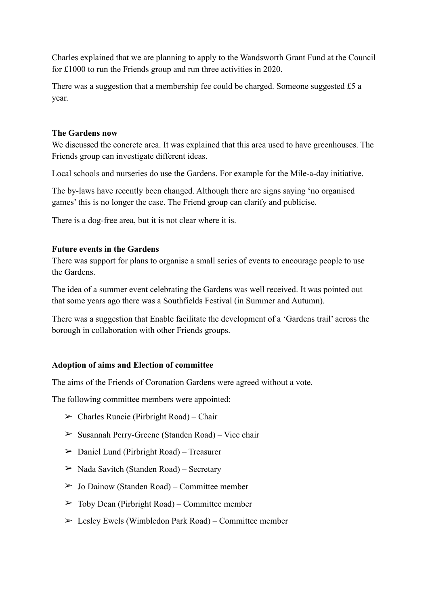Charles explained that we are planning to apply to the Wandsworth Grant Fund at the Council for £1000 to run the Friends group and run three activities in 2020.

There was a suggestion that a membership fee could be charged. Someone suggested £5 a year.

#### **The Gardens now**

We discussed the concrete area. It was explained that this area used to have greenhouses. The Friends group can investigate different ideas.

Local schools and nurseries do use the Gardens. For example for the Mile-a-day initiative.

The by-laws have recently been changed. Although there are signs saying 'no organised games' this is no longer the case. The Friend group can clarify and publicise.

There is a dog-free area, but it is not clear where it is.

#### **Future events in the Gardens**

There was support for plans to organise a small series of events to encourage people to use the Gardens.

The idea of a summer event celebrating the Gardens was well received. It was pointed out that some years ago there was a Southfields Festival (in Summer and Autumn).

There was a suggestion that Enable facilitate the development of a 'Gardens trail' across the borough in collaboration with other Friends groups.

## **Adoption of aims and Election of committee**

The aims of the Friends of Coronation Gardens were agreed without a vote.

The following committee members were appointed:

- $\triangleright$  Charles Runcie (Pirbright Road) Chair
- $\geq$  Susannah Perry-Greene (Standen Road) Vice chair
- $\geq$  Daniel Lund (Pirbright Road) Treasurer
- $\triangleright$  Nada Savitch (Standen Road) Secretary
- $\geq$  Jo Dainow (Standen Road) Committee member
- $\geq$  Toby Dean (Pirbright Road) Committee member
- $\geq$  Lesley Ewels (Wimbledon Park Road) Committee member